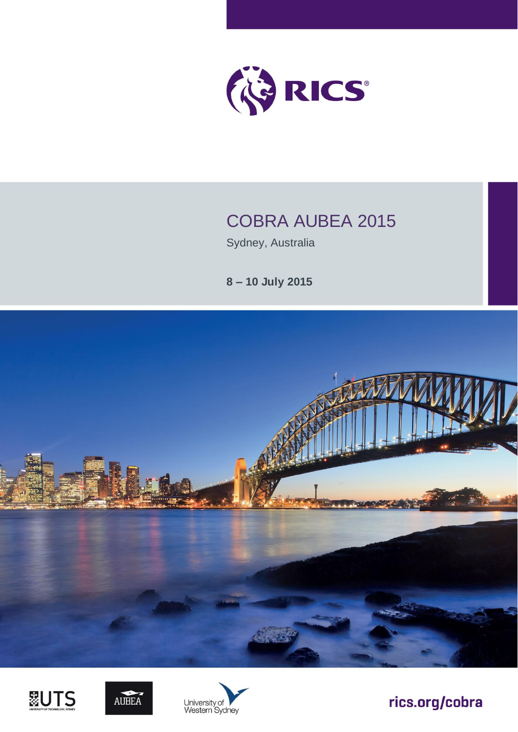

## COBRA AUBEA 2015

Sydney, Australia

**8 – 10 July 2015**









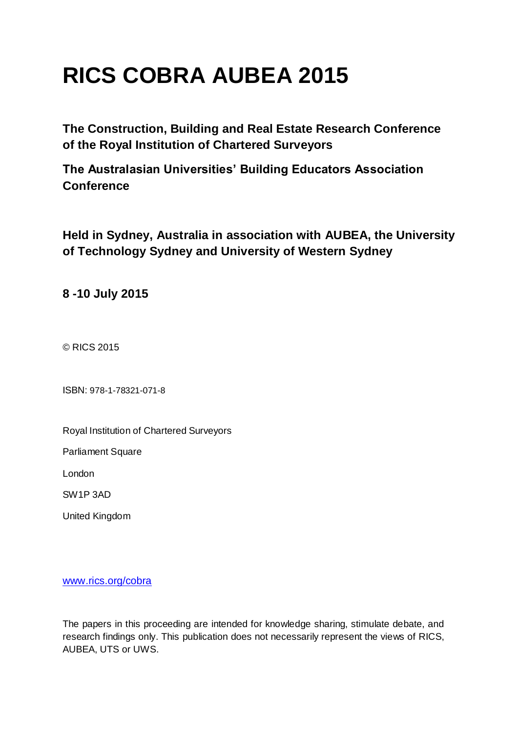# **RICS COBRA AUBEA 2015**

**The Construction, Building and Real Estate Research Conference of the Royal Institution of Chartered Surveyors**

**The Australasian Universities' Building Educators Association Conference**

**Held in Sydney, Australia in association with AUBEA, the University of Technology Sydney and University of Western Sydney**

**8 -10 July 2015**

© RICS 2015

ISBN: 978-1-78321-071-8

Royal Institution of Chartered Surveyors

Parliament Square

London

SW1P 3AD

United Kingdom

[www.rics.org/cobra](http://www.rics.org/cobra)

The papers in this proceeding are intended for knowledge sharing, stimulate debate, and research findings only. This publication does not necessarily represent the views of RICS, AUBEA, UTS or UWS.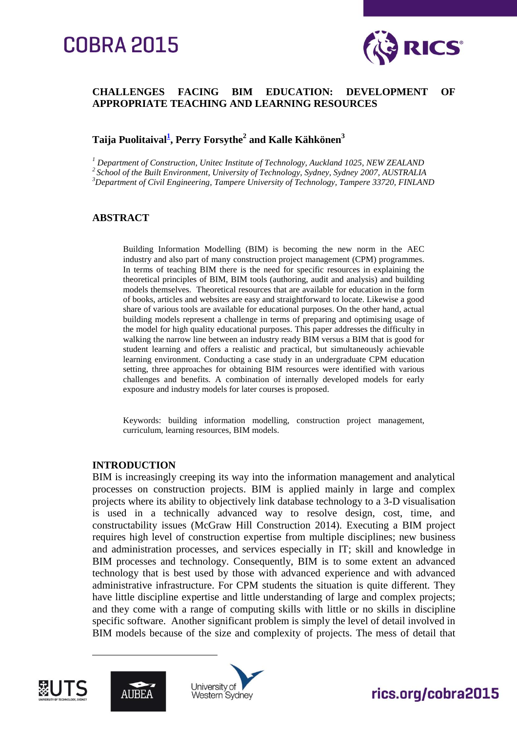## **COBRA 2015**



#### **CHALLENGES FACING BIM EDUCATION: DEVELOPMENT OF APPROPRIATE TEACHING AND LEARNING RESOURCES**

#### **Taija Puolitaival[1](mailto:tpuolitaival@unitec.ac.nz) , Perry Forsythe<sup>2</sup> and Kalle Kähkönen<sup>3</sup>**

*<sup>1</sup> Department of Construction, Unitec Institute of Technology, Auckland 1025, NEW ZEALAND 2 School of the Built Environment, University of Technology, Sydney, Sydney 2007, AUSTRALIA*

*<sup>3</sup>Department of Civil Engineering, Tampere University of Technology, Tampere 33720, FINLAND*

#### **ABSTRACT**

Building Information Modelling (BIM) is becoming the new norm in the AEC industry and also part of many construction project management (CPM) programmes. In terms of teaching BIM there is the need for specific resources in explaining the theoretical principles of BIM, BIM tools (authoring, audit and analysis) and building models themselves. Theoretical resources that are available for education in the form of books, articles and websites are easy and straightforward to locate. Likewise a good share of various tools are available for educational purposes. On the other hand, actual building models represent a challenge in terms of preparing and optimising usage of the model for high quality educational purposes. This paper addresses the difficulty in walking the narrow line between an industry ready BIM versus a BIM that is good for student learning and offers a realistic and practical, but simultaneously achievable learning environment. Conducting a case study in an undergraduate CPM education setting, three approaches for obtaining BIM resources were identified with various challenges and benefits. A combination of internally developed models for early exposure and industry models for later courses is proposed.

Keywords: building information modelling, construction project management, curriculum, learning resources, BIM models.

#### **INTRODUCTION**

BIM is increasingly creeping its way into the information management and analytical processes on construction projects. BIM is applied mainly in large and complex projects where its ability to objectively link database technology to a 3-D visualisation is used in a technically advanced way to resolve design, cost, time, and constructability issues (McGraw Hill Construction 2014). Executing a BIM project requires high level of construction expertise from multiple disciplines; new business and administration processes, and services especially in IT; skill and knowledge in BIM processes and technology. Consequently, BIM is to some extent an advanced technology that is best used by those with advanced experience and with advanced administrative infrastructure. For CPM students the situation is quite different. They have little discipline expertise and little understanding of large and complex projects; and they come with a range of computing skills with little or no skills in discipline specific software. Another significant problem is simply the level of detail involved in BIM models because of the size and complexity of projects. The mess of detail that



 $\overline{a}$ 



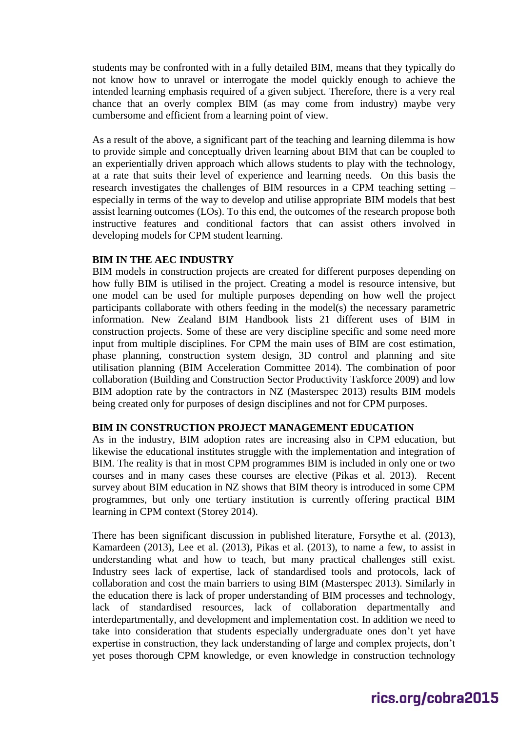students may be confronted with in a fully detailed BIM, means that they typically do not know how to unravel or interrogate the model quickly enough to achieve the intended learning emphasis required of a given subject. Therefore, there is a very real chance that an overly complex BIM (as may come from industry) maybe very cumbersome and efficient from a learning point of view.

As a result of the above, a significant part of the teaching and learning dilemma is how to provide simple and conceptually driven learning about BIM that can be coupled to an experientially driven approach which allows students to play with the technology, at a rate that suits their level of experience and learning needs. On this basis the research investigates the challenges of BIM resources in a CPM teaching setting – especially in terms of the way to develop and utilise appropriate BIM models that best assist learning outcomes (LOs). To this end, the outcomes of the research propose both instructive features and conditional factors that can assist others involved in developing models for CPM student learning.

#### **BIM IN THE AEC INDUSTRY**

BIM models in construction projects are created for different purposes depending on how fully BIM is utilised in the project. Creating a model is resource intensive, but one model can be used for multiple purposes depending on how well the project participants collaborate with others feeding in the model(s) the necessary parametric information. New Zealand BIM Handbook lists 21 different uses of BIM in construction projects. Some of these are very discipline specific and some need more input from multiple disciplines. For CPM the main uses of BIM are cost estimation, phase planning, construction system design, 3D control and planning and site utilisation planning (BIM Acceleration Committee 2014). The combination of poor collaboration (Building and Construction Sector Productivity Taskforce 2009) and low BIM adoption rate by the contractors in NZ (Masterspec 2013) results BIM models being created only for purposes of design disciplines and not for CPM purposes.

#### **BIM IN CONSTRUCTION PROJECT MANAGEMENT EDUCATION**

As in the industry, BIM adoption rates are increasing also in CPM education, but likewise the educational institutes struggle with the implementation and integration of BIM. The reality is that in most CPM programmes BIM is included in only one or two courses and in many cases these courses are elective (Pikas et al. 2013). Recent survey about BIM education in NZ shows that BIM theory is introduced in some CPM programmes, but only one tertiary institution is currently offering practical BIM learning in CPM context (Storey 2014).

There has been significant discussion in published literature, Forsythe et al. (2013), Kamardeen (2013), Lee et al. (2013), Pikas et al. (2013), to name a few, to assist in understanding what and how to teach, but many practical challenges still exist. Industry sees lack of expertise, lack of standardised tools and protocols, lack of collaboration and cost the main barriers to using BIM (Masterspec 2013). Similarly in the education there is lack of proper understanding of BIM processes and technology, lack of standardised resources, lack of collaboration departmentally and interdepartmentally, and development and implementation cost. In addition we need to take into consideration that students especially undergraduate ones don't yet have expertise in construction, they lack understanding of large and complex projects, don't yet poses thorough CPM knowledge, or even knowledge in construction technology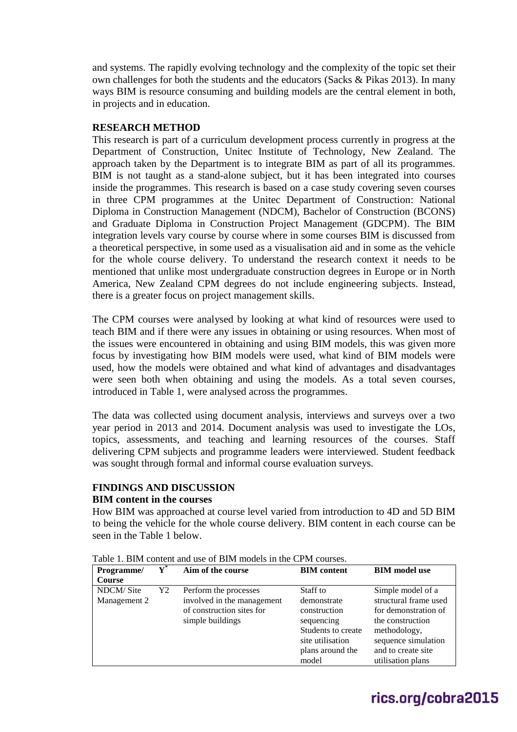and systems. The rapidly evolving technology and the complexity of the topic set their own challenges for both the students and the educators (Sacks & Pikas 2013). In many ways BIM is resource consuming and building models are the central element in both, in projects and in education.

#### **RESEARCH METHOD**

This research is part of a curriculum development process currently in progress at the Department of Construction, Unitec Institute of Technology, New Zealand. The approach taken by the Department is to integrate BIM as part of all its programmes. BIM is not taught as a stand-alone subject, but it has been integrated into courses inside the programmes. This research is based on a case study covering seven courses in three CPM programmes at the Unitec Department of Construction: National Diploma in Construction Management (NDCM), Bachelor of Construction (BCONS) and Graduate Diploma in Construction Project Management (GDCPM). The BIM integration levels vary course by course where in some courses BIM is discussed from a theoretical perspective, in some used as a visualisation aid and in some as the vehicle for the whole course delivery. To understand the research context it needs to be mentioned that unlike most undergraduate construction degrees in Europe or in North America, New Zealand CPM degrees do not include engineering subjects. Instead, there is a greater focus on project management skills.

The CPM courses were analysed by looking at what kind of resources were used to teach BIM and if there were any issues in obtaining or using resources. When most of the issues were encountered in obtaining and using BIM models, this was given more focus by investigating how BIM models were used, what kind of BIM models were used, how the models were obtained and what kind of advantages and disadvantages were seen both when obtaining and using the models. As a total seven courses, introduced in Table 1, were analysed across the programmes.

The data was collected using document analysis, interviews and surveys over a two year period in 2013 and 2014. Document analysis was used to investigate the LOs, topics, assessments, and teaching and learning resources of the courses. Staff delivering CPM subjects and programme leaders were interviewed. Student feedback was sought through formal and informal course evaluation surveys.

#### **FINDINGS AND DISCUSSION**

#### **BIM content in the courses**

How BIM was approached at course level varied from introduction to 4D and 5D BIM to being the vehicle for the whole course delivery. BIM content in each course can be seen in the Table 1 below.

| Programme/    | ${\bf Y}^{*}$ | Aim of the course          | <b>BIM</b> content | <b>BIM</b> model use  |
|---------------|---------------|----------------------------|--------------------|-----------------------|
| <b>Course</b> |               |                            |                    |                       |
| NDCM/Site     | Y2            | Perform the processes      | Staff to           | Simple model of a     |
| Management 2  |               | involved in the management | demonstrate        | structural frame used |
|               |               | of construction sites for  | construction       | for demonstration of  |
|               |               | simple buildings           | sequencing         | the construction      |
|               |               |                            | Students to create | methodology,          |
|               |               |                            | site utilisation   | sequence simulation   |
|               |               |                            | plans around the   | and to create site    |
|               |               |                            | model              | utilisation plans     |

Table 1. BIM content and use of BIM models in the CPM courses.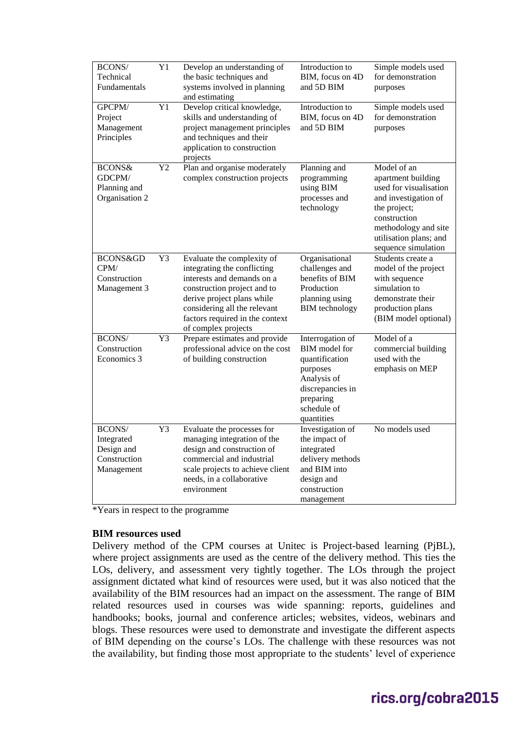| BCONS/<br>Technical<br>Fundamentals                              | Y1              | Develop an understanding of<br>the basic techniques and<br>systems involved in planning<br>and estimating                                                                                                                                      | Introduction to<br>BIM, focus on 4D<br>and 5D BIM                                                                                                   | Simple models used<br>for demonstration<br>purposes                                                                                                                                          |
|------------------------------------------------------------------|-----------------|------------------------------------------------------------------------------------------------------------------------------------------------------------------------------------------------------------------------------------------------|-----------------------------------------------------------------------------------------------------------------------------------------------------|----------------------------------------------------------------------------------------------------------------------------------------------------------------------------------------------|
| GPCPM/<br>Project<br>Management<br>Principles                    | $\overline{Y1}$ | Develop critical knowledge,<br>skills and understanding of<br>project management principles<br>and techniques and their<br>application to construction<br>projects                                                                             | Introduction to<br>BIM, focus on 4D<br>and 5D BIM                                                                                                   | Simple models used<br>for demonstration<br>purposes                                                                                                                                          |
| BCONS&<br>GDCPM/<br>Planning and<br>Organisation 2               | Y2              | Plan and organise moderately<br>complex construction projects                                                                                                                                                                                  | Planning and<br>programming<br>using BIM<br>processes and<br>technology                                                                             | Model of an<br>apartment building<br>used for visualisation<br>and investigation of<br>the project;<br>construction<br>methodology and site<br>utilisation plans; and<br>sequence simulation |
| BCONS&GD<br>CPM/<br>Construction<br>Management 3                 | $\overline{Y3}$ | Evaluate the complexity of<br>integrating the conflicting<br>interests and demands on a<br>construction project and to<br>derive project plans while<br>considering all the relevant<br>factors required in the context<br>of complex projects | Organisational<br>challenges and<br>benefits of BIM<br>Production<br>planning using<br><b>BIM</b> technology                                        | Students create a<br>model of the project<br>with sequence<br>simulation to<br>demonstrate their<br>production plans<br>(BIM model optional)                                                 |
| BCONS/<br>Construction<br>Economics 3                            | Y3              | Prepare estimates and provide<br>professional advice on the cost<br>of building construction                                                                                                                                                   | Interrogation of<br><b>BIM</b> model for<br>quantification<br>purposes<br>Analysis of<br>discrepancies in<br>preparing<br>schedule of<br>quantities | Model of a<br>commercial building<br>used with the<br>emphasis on MEP                                                                                                                        |
| BCONS/<br>Integrated<br>Design and<br>Construction<br>Management | Y3              | Evaluate the processes for<br>managing integration of the<br>design and construction of<br>commercial and industrial<br>scale projects to achieve client<br>needs, in a collaborative<br>environment                                           | Investigation of<br>the impact of<br>integrated<br>delivery methods<br>and BIM into<br>design and<br>construction<br>management                     | No models used                                                                                                                                                                               |

\*Years in respect to the programme

#### **BIM resources used**

Delivery method of the CPM courses at Unitec is Project-based learning (PjBL), where project assignments are used as the centre of the delivery method. This ties the LOs, delivery, and assessment very tightly together. The LOs through the project assignment dictated what kind of resources were used, but it was also noticed that the availability of the BIM resources had an impact on the assessment. The range of BIM related resources used in courses was wide spanning: reports, guidelines and handbooks; books, journal and conference articles; websites, videos, webinars and blogs. These resources were used to demonstrate and investigate the different aspects of BIM depending on the course's LOs. The challenge with these resources was not the availability, but finding those most appropriate to the students' level of experience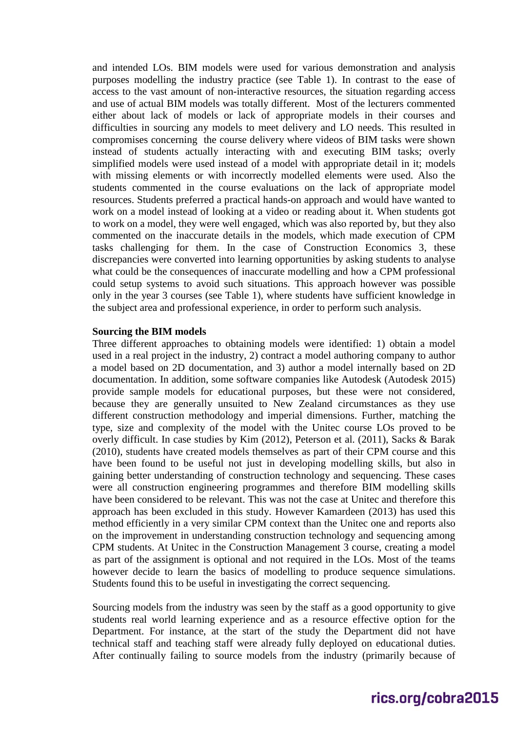and intended LOs. BIM models were used for various demonstration and analysis purposes modelling the industry practice (see Table 1). In contrast to the ease of access to the vast amount of non-interactive resources, the situation regarding access and use of actual BIM models was totally different. Most of the lecturers commented either about lack of models or lack of appropriate models in their courses and difficulties in sourcing any models to meet delivery and LO needs. This resulted in compromises concerning the course delivery where videos of BIM tasks were shown instead of students actually interacting with and executing BIM tasks; overly simplified models were used instead of a model with appropriate detail in it; models with missing elements or with incorrectly modelled elements were used. Also the students commented in the course evaluations on the lack of appropriate model resources. Students preferred a practical hands-on approach and would have wanted to work on a model instead of looking at a video or reading about it. When students got to work on a model, they were well engaged, which was also reported by, but they also commented on the inaccurate details in the models, which made execution of CPM tasks challenging for them. In the case of Construction Economics 3, these discrepancies were converted into learning opportunities by asking students to analyse what could be the consequences of inaccurate modelling and how a CPM professional could setup systems to avoid such situations. This approach however was possible only in the year 3 courses (see Table 1), where students have sufficient knowledge in the subject area and professional experience, in order to perform such analysis.

#### **Sourcing the BIM models**

Three different approaches to obtaining models were identified: 1) obtain a model used in a real project in the industry, 2) contract a model authoring company to author a model based on 2D documentation, and 3) author a model internally based on 2D documentation. In addition, some software companies like Autodesk (Autodesk 2015) provide sample models for educational purposes, but these were not considered, because they are generally unsuited to New Zealand circumstances as they use different construction methodology and imperial dimensions. Further, matching the type, size and complexity of the model with the Unitec course LOs proved to be overly difficult. In case studies by Kim (2012), Peterson et al. (2011), Sacks & Barak (2010), students have created models themselves as part of their CPM course and this have been found to be useful not just in developing modelling skills, but also in gaining better understanding of construction technology and sequencing. These cases were all construction engineering programmes and therefore BIM modelling skills have been considered to be relevant. This was not the case at Unitec and therefore this approach has been excluded in this study. However Kamardeen (2013) has used this method efficiently in a very similar CPM context than the Unitec one and reports also on the improvement in understanding construction technology and sequencing among CPM students. At Unitec in the Construction Management 3 course, creating a model as part of the assignment is optional and not required in the LOs. Most of the teams however decide to learn the basics of modelling to produce sequence simulations. Students found this to be useful in investigating the correct sequencing.

Sourcing models from the industry was seen by the staff as a good opportunity to give students real world learning experience and as a resource effective option for the Department. For instance, at the start of the study the Department did not have technical staff and teaching staff were already fully deployed on educational duties. After continually failing to source models from the industry (primarily because of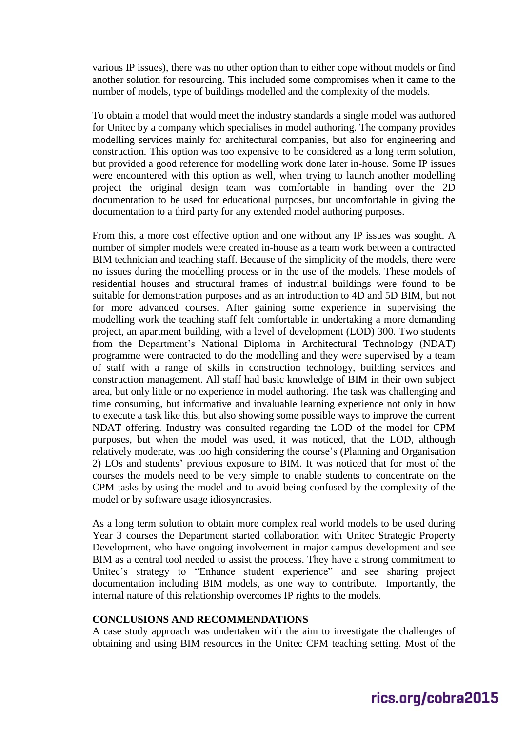various IP issues), there was no other option than to either cope without models or find another solution for resourcing. This included some compromises when it came to the number of models, type of buildings modelled and the complexity of the models.

To obtain a model that would meet the industry standards a single model was authored for Unitec by a company which specialises in model authoring. The company provides modelling services mainly for architectural companies, but also for engineering and construction. This option was too expensive to be considered as a long term solution, but provided a good reference for modelling work done later in-house. Some IP issues were encountered with this option as well, when trying to launch another modelling project the original design team was comfortable in handing over the 2D documentation to be used for educational purposes, but uncomfortable in giving the documentation to a third party for any extended model authoring purposes.

From this, a more cost effective option and one without any IP issues was sought. A number of simpler models were created in-house as a team work between a contracted BIM technician and teaching staff. Because of the simplicity of the models, there were no issues during the modelling process or in the use of the models. These models of residential houses and structural frames of industrial buildings were found to be suitable for demonstration purposes and as an introduction to 4D and 5D BIM, but not for more advanced courses. After gaining some experience in supervising the modelling work the teaching staff felt comfortable in undertaking a more demanding project, an apartment building, with a level of development (LOD) 300. Two students from the Department's National Diploma in Architectural Technology (NDAT) programme were contracted to do the modelling and they were supervised by a team of staff with a range of skills in construction technology, building services and construction management. All staff had basic knowledge of BIM in their own subject area, but only little or no experience in model authoring. The task was challenging and time consuming, but informative and invaluable learning experience not only in how to execute a task like this, but also showing some possible ways to improve the current NDAT offering. Industry was consulted regarding the LOD of the model for CPM purposes, but when the model was used, it was noticed, that the LOD, although relatively moderate, was too high considering the course's (Planning and Organisation 2) LOs and students' previous exposure to BIM. It was noticed that for most of the courses the models need to be very simple to enable students to concentrate on the CPM tasks by using the model and to avoid being confused by the complexity of the model or by software usage idiosyncrasies.

As a long term solution to obtain more complex real world models to be used during Year 3 courses the Department started collaboration with Unitec Strategic Property Development, who have ongoing involvement in major campus development and see BIM as a central tool needed to assist the process. They have a strong commitment to Unitec's strategy to "Enhance student experience" and see sharing project documentation including BIM models, as one way to contribute. Importantly, the internal nature of this relationship overcomes IP rights to the models.

#### **CONCLUSIONS AND RECOMMENDATIONS**

A case study approach was undertaken with the aim to investigate the challenges of obtaining and using BIM resources in the Unitec CPM teaching setting. Most of the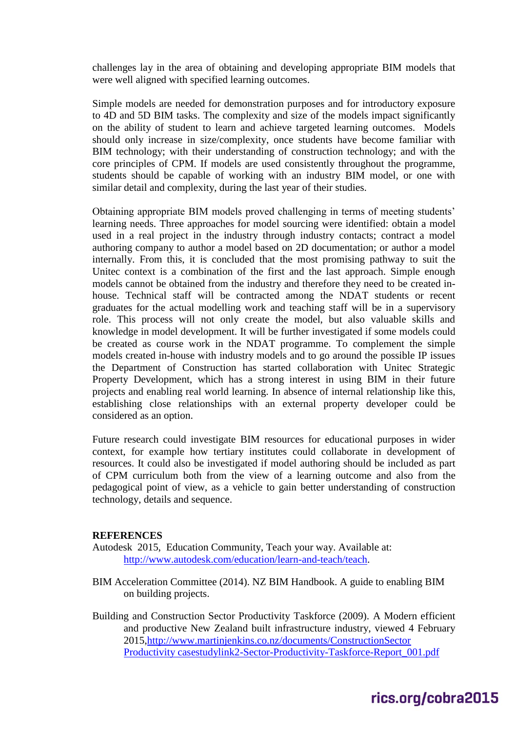challenges lay in the area of obtaining and developing appropriate BIM models that were well aligned with specified learning outcomes.

Simple models are needed for demonstration purposes and for introductory exposure to 4D and 5D BIM tasks. The complexity and size of the models impact significantly on the ability of student to learn and achieve targeted learning outcomes. Models should only increase in size/complexity, once students have become familiar with BIM technology; with their understanding of construction technology; and with the core principles of CPM. If models are used consistently throughout the programme, students should be capable of working with an industry BIM model, or one with similar detail and complexity, during the last year of their studies.

Obtaining appropriate BIM models proved challenging in terms of meeting students' learning needs. Three approaches for model sourcing were identified: obtain a model used in a real project in the industry through industry contacts; contract a model authoring company to author a model based on 2D documentation; or author a model internally. From this, it is concluded that the most promising pathway to suit the Unitec context is a combination of the first and the last approach. Simple enough models cannot be obtained from the industry and therefore they need to be created inhouse. Technical staff will be contracted among the NDAT students or recent graduates for the actual modelling work and teaching staff will be in a supervisory role. This process will not only create the model, but also valuable skills and knowledge in model development. It will be further investigated if some models could be created as course work in the NDAT programme. To complement the simple models created in-house with industry models and to go around the possible IP issues the Department of Construction has started collaboration with Unitec Strategic Property Development, which has a strong interest in using BIM in their future projects and enabling real world learning. In absence of internal relationship like this, establishing close relationships with an external property developer could be considered as an option.

Future research could investigate BIM resources for educational purposes in wider context, for example how tertiary institutes could collaborate in development of resources. It could also be investigated if model authoring should be included as part of CPM curriculum both from the view of a learning outcome and also from the pedagogical point of view, as a vehicle to gain better understanding of construction technology, details and sequence.

#### **REFERENCES**

- Autodesk 2015, Education Community, Teach your way. Available at: [http://www.autodesk.com/education/learn-and-teach/teach.](http://www.autodesk.com/education/learn-and-teach/teach)
- BIM Acceleration Committee (2014). NZ BIM Handbook. A guide to enabling BIM on building projects.
- Building and Construction Sector Productivity Taskforce (2009). A Modern efficient and productive New Zealand built infrastructure industry, viewed 4 February 2015[,http://www.martinjenkins.co.nz/documents/ConstructionSector](http://www.martinjenkins.co.nz/documents/ConstructionSector%20Productivity%20casestudylink2-Sector-Productivity-Taskforce-Report_001.pdf)  [Productivity casestudylink2-Sector-Productivity-Taskforce-Report\\_001.pdf](http://www.martinjenkins.co.nz/documents/ConstructionSector%20Productivity%20casestudylink2-Sector-Productivity-Taskforce-Report_001.pdf)